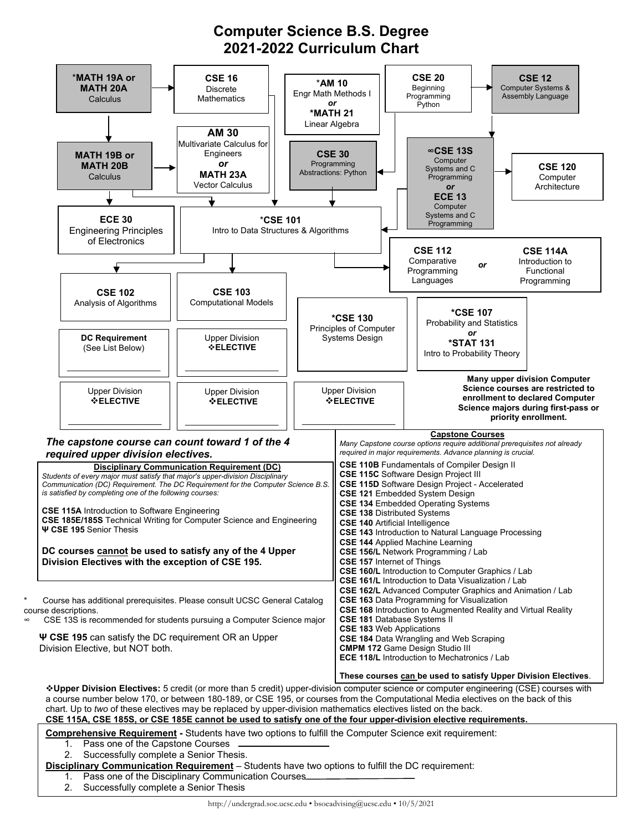## **Computer Science B.S. Degree 2021-2022 Curriculum Chart**



- 1. Pass one of the Capstone Courses
- 2. Successfully complete a Senior Thesis.

## **Disciplinary Communication Requirement** – Students have two options to fulfill the DC requirement:

- 1. Pass one of the Disciplinary Communication Courses
- 2. Successfully complete a Senior Thesis